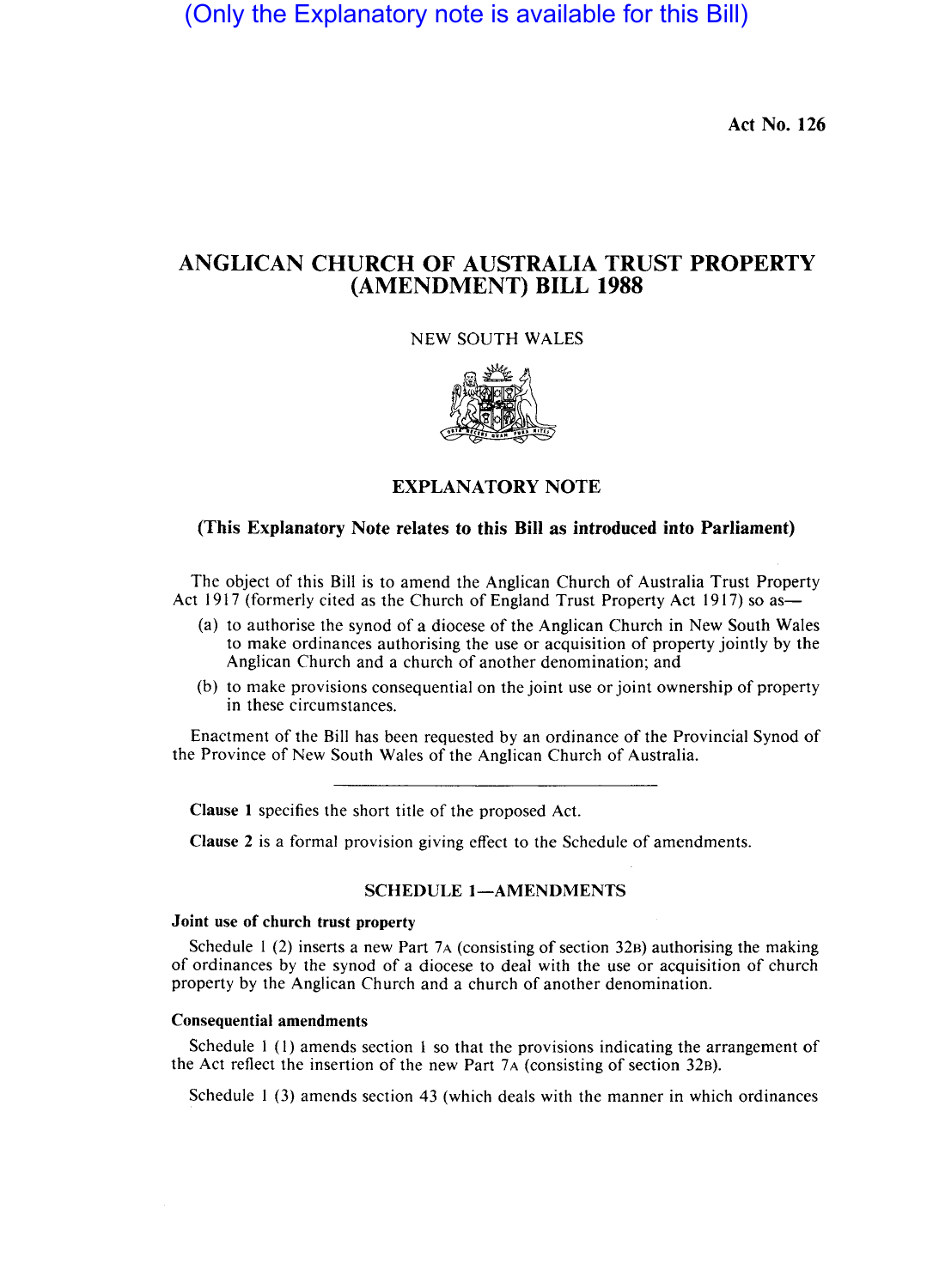(Only the Explanatory note is available for this Bill)

Act No. 126

# ANGLICAN CHURCH OF AUSTRALIA TRUST PROPERTY (AMENDMENT) BILL 1988

NEW SOUTH WALES



EXPLANATORY NOTE

### (This Explanatory Note relates to this Bill as introduced into Parliament)

The object of this Bill is to amend the Anglican Church of Australia Trust Property Act 1917 (formerly cited as the Church of England Trust Property Act 1917) so as-

- (a) to authorise the synod of a diocese of the Anglican Church in New South Wales to make ordinances authorising the use or acquisition of property jointly by the Anglican Church and a church of another denomination; and
- (b) to make provisions consequential on the joint use or joint ownership of property in these circumstances.

Enactment of the Bill has been requested by an ordinance of the Provincial Synod of the Province of New South Wales of the Anglican Church of Australia.

Clause I specifies the short title of the proposed Act.

Clause 2 is a formal provision giving effect to the Schedule of amendments.

### SCHEDULE 1-AMENDMENTS

## Joint use of church trust property

Schedule  $1(2)$  inserts a new Part 7A (consisting of section 32B) authorising the making of ordinances by the synod of a diocese to deal with the use or acquisition of church property by the Anglican Church and a church of another denomination.

#### Consequential amendments

Schedule I (I) amends section 1 so that the provisions indicating the arrangement of the Act reflect the insertion of the new Part 7A (consisting of section 32B).

Schedule 1 (3) amends section 43 (which deals with the manner in which ordinances